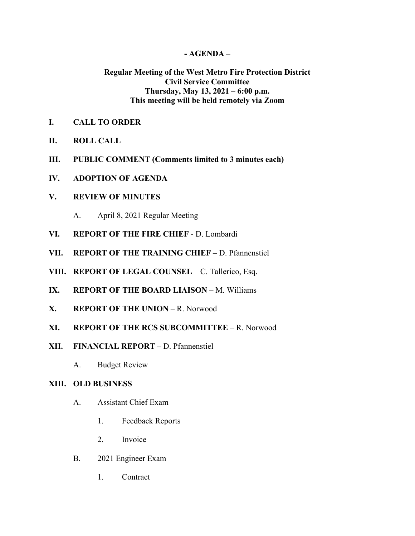## **- AGENDA –**

# **Regular Meeting of the West Metro Fire Protection District Civil Service Committee Thursday, May 13, 2021 – 6:00 p.m. This meeting will be held remotely via Zoom**

- **I. CALL TO ORDER**
- **II. ROLL CALL**
- **III. PUBLIC COMMENT (Comments limited to 3 minutes each)**
- **IV. ADOPTION OF AGENDA**

### **V. REVIEW OF MINUTES**

- A. April 8, 2021 Regular Meeting
- **VI. REPORT OF THE FIRE CHIEF**  D. Lombardi
- **VII. REPORT OF THE TRAINING CHIEF** D. Pfannenstiel
- **VIII. REPORT OF LEGAL COUNSEL** C. Tallerico, Esq.
- **IX. REPORT OF THE BOARD LIAISON** M. Williams
- **X. REPORT OF THE UNION** R. Norwood
- **XI. REPORT OF THE RCS SUBCOMMITTEE** R. Norwood
- **XII. FINANCIAL REPORT –** D. Pfannenstiel
	- A. Budget Review

# **XIII. OLD BUSINESS**

- A. Assistant Chief Exam
	- 1. Feedback Reports
	- 2. Invoice
- B. 2021 Engineer Exam
	- 1. Contract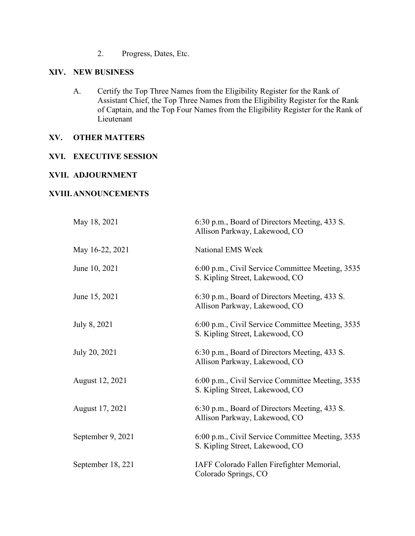2. Progress, Dates, Etc.

### **XIV. NEW BUSINESS**

A. Certify the Top Three Names from the Eligibility Register for the Rank of Assistant Chief, the Top Three Names from the Eligibility Register for the Rank of Captain, and the Top Four Names from the Eligibility Register for the Rank of Lieutenant

## **XV. OTHER MATTERS**

### **XVI. EXECUTIVE SESSION**

### **XVII. ADJOURNMENT**

### **XVIII.ANNOUNCEMENTS**

| May 18, 2021      | 6:30 p.m., Board of Directors Meeting, 433 S.<br>Allison Parkway, Lakewood, CO      |
|-------------------|-------------------------------------------------------------------------------------|
| May 16-22, 2021   | National EMS Week                                                                   |
| June 10, 2021     | 6:00 p.m., Civil Service Committee Meeting, 3535<br>S. Kipling Street, Lakewood, CO |
| June 15, 2021     | 6:30 p.m., Board of Directors Meeting, 433 S.<br>Allison Parkway, Lakewood, CO      |
| July 8, 2021      | 6:00 p.m., Civil Service Committee Meeting, 3535<br>S. Kipling Street, Lakewood, CO |
| July 20, 2021     | 6:30 p.m., Board of Directors Meeting, 433 S.<br>Allison Parkway, Lakewood, CO      |
| August 12, 2021   | 6:00 p.m., Civil Service Committee Meeting, 3535<br>S. Kipling Street, Lakewood, CO |
| August 17, 2021   | 6:30 p.m., Board of Directors Meeting, 433 S.<br>Allison Parkway, Lakewood, CO      |
| September 9, 2021 | 6:00 p.m., Civil Service Committee Meeting, 3535<br>S. Kipling Street, Lakewood, CO |
| September 18, 221 | IAFF Colorado Fallen Firefighter Memorial,<br>Colorado Springs, CO                  |